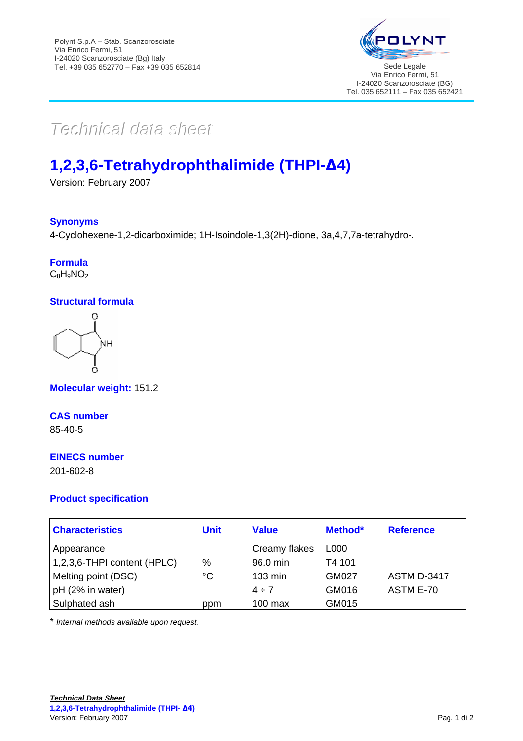

# $Techmical$  data sheett

## **1,2,3,6-Tetrahydrophthalimide (THPI-∆4)**

Version: February 2007

#### **Synonyms**

4-Cyclohexene-1,2-dicarboximide; 1H-Isoindole-1,3(2H)-dione, 3a,4,7,7a-tetrahydro-.

### **Formula**

 $C_8H_9NO_2$ 

#### **Structural formula**



**Molecular weight:** 151.2

#### **CAS number**

85-40-5

#### **EINECS number**

201-602-8

#### **Product specification**

| <b>Characteristics</b>          | Unit        | Value             | Method*      | <b>Reference</b>   |
|---------------------------------|-------------|-------------------|--------------|--------------------|
| Appearance                      |             | Creamy flakes     | L000         |                    |
| $(1,2,3,6$ -THPI content (HPLC) | %           | 96.0 min          | T4 101       |                    |
| Melting point (DSC)             | $^{\circ}C$ | $133 \text{ min}$ | <b>GM027</b> | <b>ASTM D-3417</b> |
| pH (2% in water)                |             | $4 \div 7$        | GM016        | ASTM E-70          |
| Sulphated ash                   | ppm         | $100$ max         | GM015        |                    |

\* *Internal methods available upon request.*